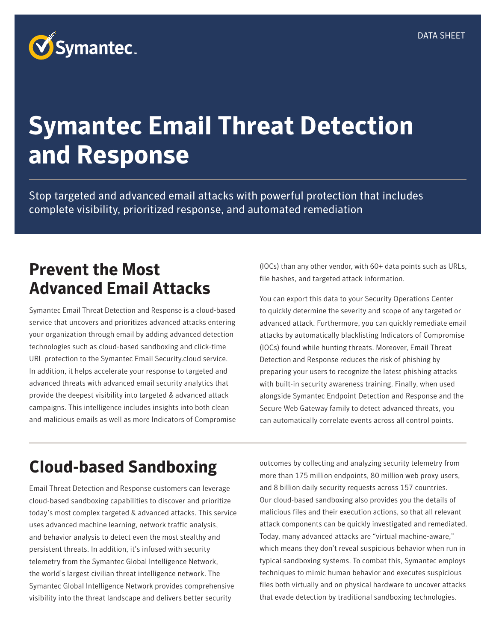# **Symantec Email Threat Detection and Response**

Stop targeted and advanced email attacks with powerful protection that includes complete visibility, prioritized response, and automated remediation

#### **Prevent the Most Advanced Email Attacks**

Symantec Email Threat Detection and Response is a cloud-based service that uncovers and prioritizes advanced attacks entering your organization through email by adding advanced detection technologies such as cloud-based sandboxing and click-time URL protection to the Symantec Email Security.cloud service. In addition, it helps accelerate your response to targeted and advanced threats with advanced email security analytics that provide the deepest visibility into targeted & advanced attack campaigns. This intelligence includes insights into both clean and malicious emails as well as more Indicators of Compromise

(IOCs) than any other vendor, with 60+ data points such as URLs, file hashes, and targeted attack information.

You can export this data to your Security Operations Center to quickly determine the severity and scope of any targeted or advanced attack. Furthermore, you can quickly remediate email attacks by automatically blacklisting Indicators of Compromise (IOCs) found while hunting threats. Moreover, Email Threat Detection and Response reduces the risk of phishing by preparing your users to recognize the latest phishing attacks with built-in security awareness training. Finally, when used alongside Symantec Endpoint Detection and Response and the Secure Web Gateway family to detect advanced threats, you can automatically correlate events across all control points.

#### **Cloud-based Sandboxing**

Email Threat Detection and Response customers can leverage cloud-based sandboxing capabilities to discover and prioritize today's most complex targeted & advanced attacks. This service uses advanced machine learning, network traffic analysis, and behavior analysis to detect even the most stealthy and persistent threats. In addition, it's infused with security telemetry from the Symantec Global Intelligence Network, the world's largest civilian threat intelligence network. The Symantec Global Intelligence Network provides comprehensive visibility into the threat landscape and delivers better security

outcomes by collecting and analyzing security telemetry from more than 175 million endpoints, 80 million web proxy users, and 8 billion daily security requests across 157 countries. Our cloud-based sandboxing also provides you the details of malicious files and their execution actions, so that all relevant attack components can be quickly investigated and remediated. Today, many advanced attacks are "virtual machine-aware," which means they don't reveal suspicious behavior when run in typical sandboxing systems. To combat this, Symantec employs techniques to mimic human behavior and executes suspicious files both virtually and on physical hardware to uncover attacks that evade detection by traditional sandboxing technologies.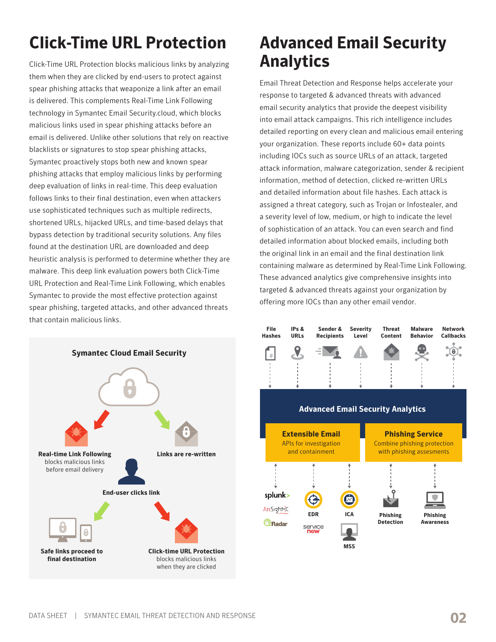# **Click-Time URL Protection**

Click-Time URL Protection blocks malicious links by analyzing them when they are clicked by end-users to protect against spear phishing attacks that weaponize a link after an email is delivered. This complements Real-Time Link Following technology in Symantec Email Security.cloud, which blocks malicious links used in spear phishing attacks before an email is delivered. Unlike other solutions that rely on reactive blacklists or signatures to stop spear phishing attacks, Symantec proactively stops both new and known spear phishing attacks that employ malicious links by performing deep evaluation of links in real-time. This deep evaluation follows links to their final destination, even when attackers use sophisticated techniques such as multiple redirects, shortened URLs, hijacked URLs, and time-based delays that bypass detection by traditional security solutions. Any files found at the destination URL are downloaded and deep heuristic analysis is performed to determine whether they are malware. This deep link evaluation powers both Click-Time URL Protection and Real-Time Link Following, which enables Symantec to provide the most effective protection against spear phishing, targeted attacks, and other advanced threats that contain malicious links.



#### **Advanced Email Security Analytics**

Email Threat Detection and Response helps accelerate your response to targeted & advanced threats with advanced email security analytics that provide the deepest visibility into email attack campaigns. This rich intelligence includes detailed reporting on every clean and malicious email entering your organization. These reports include 60+ data points including IOCs such as source URLs of an attack, targeted attack information, malware categorization, sender & recipient information, method of detection, clicked re-written URLs and detailed information about file hashes. Each attack is assigned a threat category, such as Trojan or Infostealer, and a severity level of low, medium, or high to indicate the level of sophistication of an attack. You can even search and find detailed information about blocked emails, including both the original link in an email and the final destination link containing malware as determined by Real-Time Link Following. These advanced analytics give comprehensive insights into targeted & advanced threats against your organization by offering more IOCs than any other email vendor.

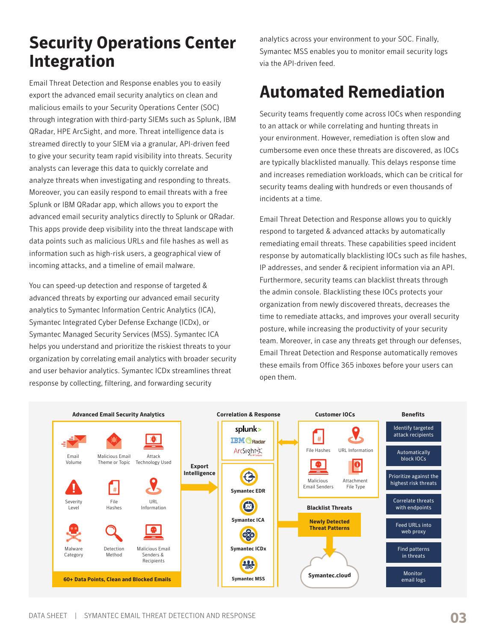### **Security Operations Center Integration**

Email Threat Detection and Response enables you to easily export the advanced email security analytics on clean and malicious emails to your Security Operations Center (SOC) through integration with third-party SIEMs such as Splunk, IBM QRadar, HPE ArcSight, and more. Threat intelligence data is streamed directly to your SIEM via a granular, API-driven feed to give your security team rapid visibility into threats. Security analysts can leverage this data to quickly correlate and analyze threats when investigating and responding to threats. Moreover, you can easily respond to email threats with a free Splunk or IBM QRadar app, which allows you to export the advanced email security analytics directly to Splunk or QRadar. This apps provide deep visibility into the threat landscape with data points such as malicious URLs and file hashes as well as information such as high-risk users, a geographical view of incoming attacks, and a timeline of email malware.

You can speed-up detection and response of targeted & advanced threats by exporting our advanced email security analytics to Symantec Information Centric Analytics (ICA), Symantec Integrated Cyber Defense Exchange (ICDx), or Symantec Managed Security Services (MSS). Symantec ICA helps you understand and prioritize the riskiest threats to your organization by correlating email analytics with broader security and user behavior analytics. Symantec ICDx streamlines threat response by collecting, filtering, and forwarding security

analytics across your environment to your SOC. Finally, Symantec MSS enables you to monitor email security logs via the API-driven feed.

#### **Automated Remediation**

Security teams frequently come across IOCs when responding to an attack or while correlating and hunting threats in your environment. However, remediation is often slow and cumbersome even once these threats are discovered, as IOCs are typically blacklisted manually. This delays response time and increases remediation workloads, which can be critical for security teams dealing with hundreds or even thousands of incidents at a time.

Email Threat Detection and Response allows you to quickly respond to targeted & advanced attacks by automatically remediating email threats. These capabilities speed incident response by automatically blacklisting IOCs such as file hashes, IP addresses, and sender & recipient information via an API. Furthermore, security teams can blacklist threats through the admin console. Blacklisting these IOCs protects your organization from newly discovered threats, decreases the time to remediate attacks, and improves your overall security posture, while increasing the productivity of your security team. Moreover, in case any threats get through our defenses, Email Threat Detection and Response automatically removes these emails from Office 365 inboxes before your users can open them.